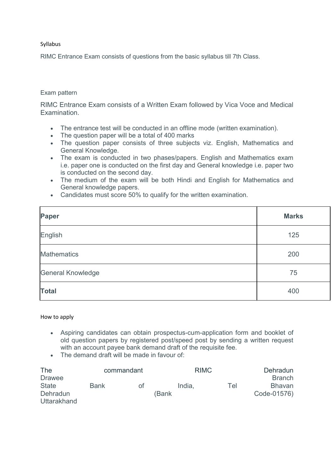## Syllabus

RIMC Entrance Exam consists of questions from the basic syllabus till 7th Class.

## Exam pattern

RIMC Entrance Exam consists of a Written Exam followed by Vica Voce and Medical Examination.

- The entrance test will be conducted in an offline mode (written examination).
- The question paper will be a total of 400 marks
- The question paper consists of three subjects viz. English, Mathematics and General Knowledge.
- The exam is conducted in two phases/papers. English and Mathematics exam i.e. paper one is conducted on the first day and General knowledge i.e. paper two is conducted on the second day.
- The medium of the exam will be both Hindi and English for Mathematics and General knowledge papers.
- Candidates must score 50% to qualify for the written examination.

| Paper                    | <b>Marks</b> |
|--------------------------|--------------|
| English                  | 125          |
| <b>Mathematics</b>       | 200          |
| <b>General Knowledge</b> | 75           |
| <b>Total</b>             | 400          |

## How to apply

- Aspiring candidates can obtain prospectus-cum-application form and booklet of old question papers by registered post/speed post by sending a written request with an account payee bank demand draft of the requisite fee.
- The demand draft will be made in favour of:

| The             | commandant  |    | <b>RIMC</b> |     | Dehradun      |
|-----------------|-------------|----|-------------|-----|---------------|
| <b>Drawee</b>   |             |    |             |     | <b>Branch</b> |
| <b>State</b>    | <b>Bank</b> | 0t | India.      | Tel | <b>Bhavan</b> |
| <b>Dehradun</b> |             |    | (Bank       |     | Code-01576)   |
| Uttarakhand     |             |    |             |     |               |